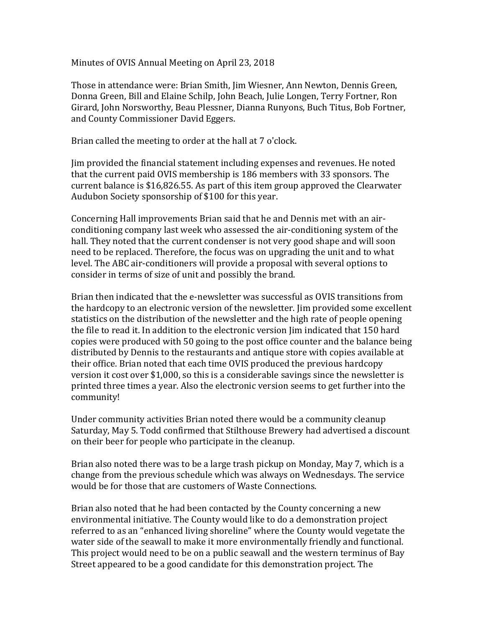Minutes of OVIS Annual Meeting on April 23, 2018

Those in attendance were: Brian Smith, Jim Wiesner, Ann Newton, Dennis Green, Donna Green, Bill and Elaine Schilp, John Beach, Julie Longen, Terry Fortner, Ron Girard, John Norsworthy, Beau Plessner, Dianna Runyons, Buch Titus, Bob Fortner, and County Commissioner David Eggers.

Brian called the meeting to order at the hall at 7 o'clock.

Jim provided the financial statement including expenses and revenues. He noted that the current paid OVIS membership is 186 members with 33 sponsors. The current balance is \$16,826.55. As part of this item group approved the Clearwater Audubon Society sponsorship of \$100 for this year.

Concerning Hall improvements Brian said that he and Dennis met with an airconditioning company last week who assessed the air-conditioning system of the hall. They noted that the current condenser is not very good shape and will soon need to be replaced. Therefore, the focus was on upgrading the unit and to what level. The ABC air-conditioners will provide a proposal with several options to consider in terms of size of unit and possibly the brand.

Brian then indicated that the e-newsletter was successful as OVIS transitions from the hardcopy to an electronic version of the newsletter. Jim provided some excellent statistics on the distribution of the newsletter and the high rate of people opening the file to read it. In addition to the electronic version Jim indicated that 150 hard copies were produced with 50 going to the post office counter and the balance being distributed by Dennis to the restaurants and antique store with copies available at their office. Brian noted that each time OVIS produced the previous hardcopy version it cost over \$1,000, so this is a considerable savings since the newsletter is printed three times a year. Also the electronic version seems to get further into the community!

Under community activities Brian noted there would be a community cleanup Saturday, May 5. Todd confirmed that Stilthouse Brewery had advertised a discount on their beer for people who participate in the cleanup.

Brian also noted there was to be a large trash pickup on Monday, May 7, which is a change from the previous schedule which was always on Wednesdays. The service would be for those that are customers of Waste Connections.

Brian also noted that he had been contacted by the County concerning a new environmental initiative. The County would like to do a demonstration project referred to as an "enhanced living shoreline" where the County would vegetate the water side of the seawall to make it more environmentally friendly and functional. This project would need to be on a public seawall and the western terminus of Bay Street appeared to be a good candidate for this demonstration project. The